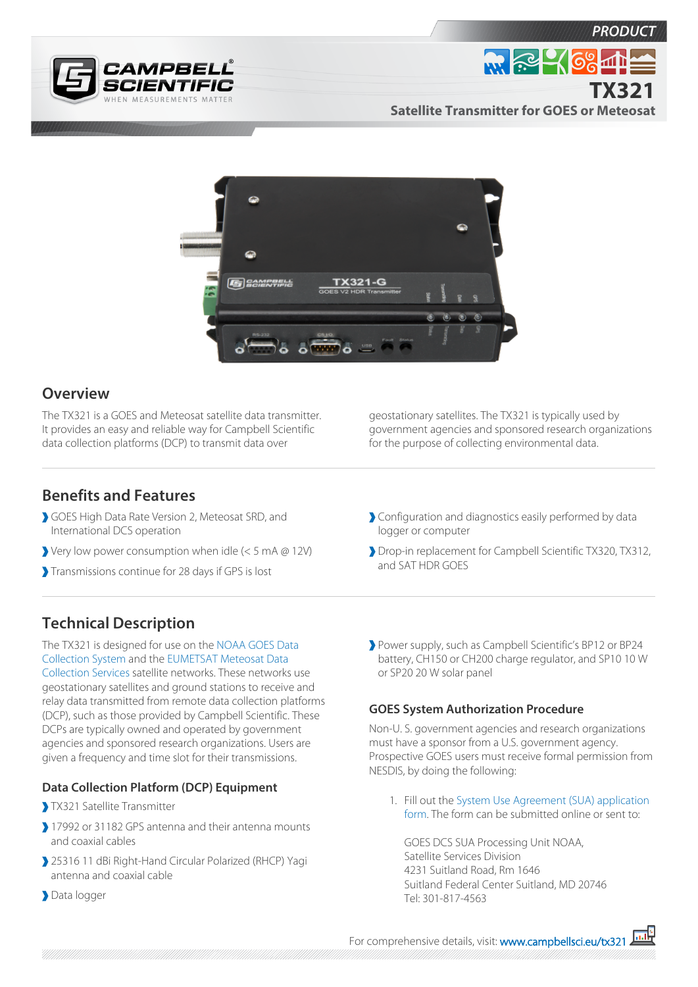



**PRODUC** 



## **Overview**

The TX321 is a GOES and Meteosat satellite data transmitter. It provides an easy and reliable way for Campbell Scientific data collection platforms (DCP) to transmit data over

geostationary satellites. The TX321 is typically used by government agencies and sponsored research organizations for the purpose of collecting environmental data.

### **Benefits and Features**

- GOES High Data Rate Version 2, Meteosat SRD, and International DCS operation
- Very low power consumption when idle (< 5 mA @ 12V)
- Transmissions continue for 28 days if GPS is lost
- Configuration and diagnostics easily performed by data logger or computer
- Drop-in replacement for Campbell Scientific TX320, TX312, and SAT HDR GOES

# **Technical Description**

The TX321 is designed for use on the [NOAA GOES Data](http://www.noaasis.noaa.gov/DCS/index.html)  [Collection System](http://www.noaasis.noaa.gov/DCS/index.html) and the [EUMETSAT Meteosat Data](http://www.eumetsat.int/website/home/Data/MeteosatServices/MeteosatDataCollectionServices/index.html) [Collection Services](http://www.eumetsat.int/website/home/Data/MeteosatServices/MeteosatDataCollectionServices/index.html) satellite networks. These networks use geostationary satellites and ground stations to receive and relay data transmitted from remote data collection platforms (DCP), such as those provided by Campbell Scientific. These DCPs are typically owned and operated by government agencies and sponsored research organizations. Users are given a frequency and time slot for their transmissions.

#### **Data Collection Platform (DCP) Equipment**

- TX321 Satellite Transmitter
- 17992 or 31182 GPS antenna and their antenna mounts and coaxial cables
- 25316 11 dBi Right-Hand Circular Polarized (RHCP) Yagi antenna and coaxial cable
- Data logger

Power supply, such as Campbell Scientific's BP12 or BP24 battery, CH150 or CH200 charge regulator, and SP10 10 W or SP20 20 W solar panel

#### **GOES System Authorization Procedure**

Non-U. S. government agencies and research organizations must have a sponsor from a U.S. government agency. Prospective GOES users must receive formal permission from NESDIS, by doing the following:

1. Fill out the [System Use Agreement \(SUA\) application](http://noaasis.noaa.gov/DCS/htmfiles/appnewsua.html) [form](http://noaasis.noaa.gov/DCS/htmfiles/appnewsua.html). The form can be submitted online or sent to:

GOES DCS SUA Processing Unit NOAA, Satellite Services Division 4231 Suitland Road, Rm 1646 Suitland Federal Center Suitland, MD 20746 Tel: 301-817-4563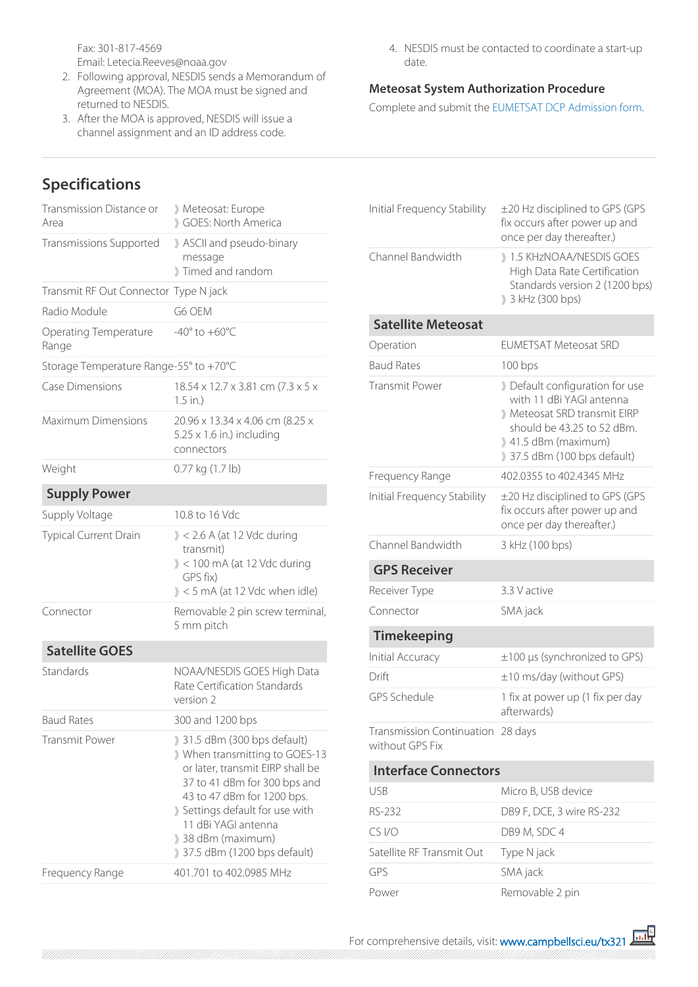Fax: 301-817-4569 Email: Letecia.Reeves@noaa.gov

- 2. Following approval, NESDIS sends a Memorandum of Agreement (MOA). The MOA must be signed and returned to NESDIS.
- 3. After the MOA is approved, NESDIS will issue a channel assignment and an ID address code.

## **Specifications**

| Transmission Distance or<br>Area       | Meteosat: Europe<br>GOES: North America                                                                                                                                                                                                                                 |
|----------------------------------------|-------------------------------------------------------------------------------------------------------------------------------------------------------------------------------------------------------------------------------------------------------------------------|
| Transmissions Supported                | ASCII and pseudo-binary<br>message<br>Timed and random                                                                                                                                                                                                                  |
| Transmit RF Out Connector Type N jack  |                                                                                                                                                                                                                                                                         |
| Radio Module                           | G6 OEM                                                                                                                                                                                                                                                                  |
| Operating Temperature<br>Range         | $-40^\circ$ to $+60^\circ C$                                                                                                                                                                                                                                            |
| Storage Temperature Range-55° to +70°C |                                                                                                                                                                                                                                                                         |
| <b>Case Dimensions</b>                 | 18.54 x 12.7 x 3.81 cm (7.3 x 5 x<br>$1.5$ in.)                                                                                                                                                                                                                         |
| <b>Maximum Dimensions</b>              | 20.96 x 13.34 x 4.06 cm (8.25 x<br>$5.25 \times 1.6$ in.) including<br>connectors                                                                                                                                                                                       |
| Weight                                 | 0.77 kg (1.7 lb)                                                                                                                                                                                                                                                        |
| <b>Supply Power</b>                    |                                                                                                                                                                                                                                                                         |
| Supply Voltage                         | 10.8 to 16 Vdc                                                                                                                                                                                                                                                          |
| Typical Current Drain                  | $\ge$ < 2.6 A (at 12 Vdc during<br>transmit)<br>$\ge$ < 100 mA (at 12 Vdc during<br>GPS fix)<br>$\ge$ < 5 mA (at 12 Vdc when idle)                                                                                                                                      |
| Connector                              | Removable 2 pin screw terminal,<br>5 mm pitch                                                                                                                                                                                                                           |
| <b>Satellite GOES</b>                  |                                                                                                                                                                                                                                                                         |
| Standards                              | NOAA/NESDIS GOES High Data<br>Rate Certification Standards<br>version 2                                                                                                                                                                                                 |
| <b>Baud Rates</b>                      | 300 and 1200 bps                                                                                                                                                                                                                                                        |
| <b>Transmit Power</b>                  | 31.5 dBm (300 bps default)<br>When transmitting to GOES-13<br>or later, transmit EIRP shall be<br>37 to 41 dBm for 300 bps and<br>43 to 47 dBm for 1200 bps.<br>Settings default for use with<br>11 dBi YAGI antenna<br>38 dBm (maximum)<br>37.5 dBm (1200 bps default) |
| Frequency Range                        | 401.701 to 402.0985 MHz                                                                                                                                                                                                                                                 |

4. NESDIS must be contacted to coordinate a start-up date.

#### **Meteosat System Authorization Procedure**

Complete and submit the [EUMETSAT DCP Admission form.](http://www.eumetsat.int/website/home/Data/MeteosatServices/MeteosatDataCollectionServices/index.html)

| Initial Frequency Stability                          | ±20 Hz disciplined to GPS (GPS<br>fix occurs after power up and<br>once per day thereafter.)                                                                             |
|------------------------------------------------------|--------------------------------------------------------------------------------------------------------------------------------------------------------------------------|
| Channel Bandwidth                                    | 1.5 KHzNOAA/NESDIS GOES<br>High Data Rate Certification<br>Standards version 2 (1200 bps)<br>3 kHz (300 bps)                                                             |
| <b>Satellite Meteosat</b>                            |                                                                                                                                                                          |
| Operation                                            | <b>EUMETSAT Meteosat SRD</b>                                                                                                                                             |
| <b>Baud Rates</b>                                    | 100 bps                                                                                                                                                                  |
| <b>Transmit Power</b>                                | Default configuration for use<br>with 11 dBi YAGI antenna<br>Meteosat SRD transmit EIRP<br>should be 43.25 to 52 dBm.<br>1.5 dBm (maximum)<br>37.5 dBm (100 bps default) |
| Frequency Range                                      | 402,0355 to 402,4345 MHz                                                                                                                                                 |
| Initial Frequency Stability                          | ±20 Hz disciplined to GPS (GPS<br>fix occurs after power up and<br>once per day thereafter.)                                                                             |
| Channel Bandwidth                                    | 3 kHz (100 bps)                                                                                                                                                          |
| <b>GPS Receiver</b>                                  |                                                                                                                                                                          |
| Receiver Type                                        | 3.3 V active                                                                                                                                                             |
| Connector                                            | SMA jack                                                                                                                                                                 |
| <b>Timekeeping</b>                                   |                                                                                                                                                                          |
| Initial Accuracy                                     | ±100 µs (synchronized to GPS)                                                                                                                                            |
| Drift                                                | ±10 ms/day (without GPS)                                                                                                                                                 |
| GPS Schedule                                         | 1 fix at power up (1 fix per day<br>afterwards)                                                                                                                          |
| Transmission Continuation 28 days<br>without GPS Fix |                                                                                                                                                                          |
| <b>Interface Connectors</b>                          |                                                                                                                                                                          |
| <b>USB</b>                                           | Micro B, USB device                                                                                                                                                      |
| RS-232                                               | DB9 F, DCE, 3 wire RS-232                                                                                                                                                |
| CS I/O                                               | DB9 M, SDC 4                                                                                                                                                             |
| Satellite RF Transmit Out                            | Type N jack                                                                                                                                                              |

Power Removable 2 pin

GPS SMA jack